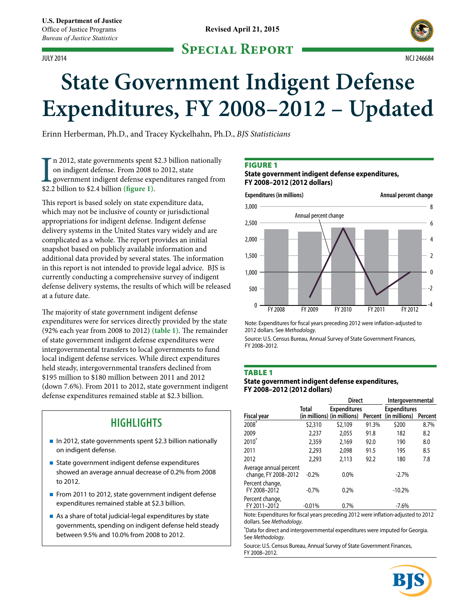### **Special Report** JULY 2014 NCJ 246684



# **State Government Indigent Defense Expenditures, FY 2008–2012 – Updated**

Erinn Herberman, Ph.D., and Tracey Kyckelhahn, Ph.D., *BJS Statisticians*

In 2012, state governments spent \$<br>on indigent defense. From 2008 to<br>government indigent defense exp<br>\$2.2 billion to \$2.4 billion (**figure 1**). n 2012, state governments spent \$2.3 billion nationally on indigent defense. From 2008 to 2012, state government indigent defense expenditures ranged from

This report is based solely on state expenditure data, which may not be inclusive of county or jurisdictional appropriations for indigent defense. Indigent defense delivery systems in the United States vary widely and are complicated as a whole. The report provides an initial snapshot based on publicly available information and additional data provided by several states. The information in this report is not intended to provide legal advice. BJS is currently conducting a comprehensive survey of indigent defense delivery systems, the results of which will be released at a future date.

The majority of state government indigent defense expenditures were for services directly provided by the state (92% each year from 2008 to 2012) **(table 1)**. The remainder of state government indigent defense expenditures were intergovernmental transfers to local governments to fund local indigent defense services. While direct expenditures held steady, intergovernmental transfers declined from \$195 million to \$180 million between 2011 and 2012 (down 7.6%). From 2011 to 2012, state government indigent defense expenditures remained stable at \$2.3 billion.

# **HIGHLIGHTS**

- In 2012, state governments spent \$2.3 billion nationally on indigent defense.
- State government indigent defense expenditures showed an average annual decrease of 0.2% from 2008 to 2012.
- From 2011 to 2012, state government indigent defense expenditures remained stable at \$2.3 billion.
- As a share of total judicial-legal expenditures by state governments, spending on indigent defense held steady between 9.5% and 10.0% from 2008 to 2012.

### **FIGURE 1**

### **State government indigent defense expenditures, FY 2008–2012 (2012 dollars)**



Note: Expenditures for fiscal years preceding 2012 were inflation-adjusted to 2012 dollars. See *Methodology*.

Source: U.S. Census Bureau, Annual Survey of State Government Finances, FY 2008–2012.

### **TABLE 1**

### **State government indigent defense expenditures, FY 2008–2012 (2012 dollars)**

|                                                |          | <b>Direct</b>               |         | Intergovernmental   |         |  |
|------------------------------------------------|----------|-----------------------------|---------|---------------------|---------|--|
|                                                | Total    | <b>Expenditures</b>         |         | <b>Expenditures</b> |         |  |
| Fiscal year                                    |          | (in millions) (in millions) | Percent | (in millions)       | Percent |  |
| $2008*$                                        | \$2,310  | \$2,109                     | 91.3%   | \$200               | 8.7%    |  |
| 2009                                           | 2,237    | 2.055                       | 91.8    | 182                 | 8.2     |  |
| $2010^*$                                       | 2,359    | 2.169                       | 92.0    | 190                 | 8.0     |  |
| 2011                                           | 2,293    | 2.098                       | 91.5    | 195                 | 8.5     |  |
| 2012                                           | 2.293    | 2.113                       | 92.2    | 180                 | 7.8     |  |
| Average annual percent<br>change, FY 2008-2012 | $-0.2%$  | 0.0%                        |         | $-2.7%$             |         |  |
| Percent change,<br>FY 2008-2012                | $-0.7%$  | 0.2%                        |         | $-10.2%$            |         |  |
| Percent change,<br>FY 2011-2012                | $-0.01%$ | 0.7%                        |         | $-7.6%$             |         |  |

Note: Expenditures for fiscal years preceding 2012 were inflation-adjusted to 2012 dollars. See *Methodology*.

\* Data for direct and intergovernmental expenditures were imputed for Georgia. See *Methodology*.

Source: U.S. Census Bureau, Annual Survey of State Government Finances, FY 2008–2012.

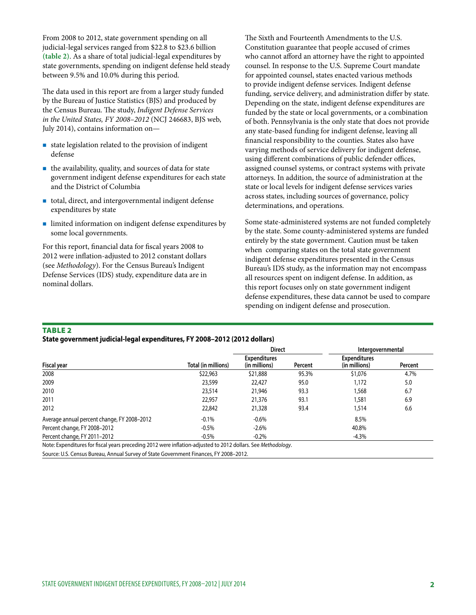From 2008 to 2012, state government spending on all judicial-legal services ranged from \$22.8 to \$23.6 billion **(table 2)**. As a share of total judicial-legal expenditures by state governments, spending on indigent defense held steady between 9.5% and 10.0% during this period.

The data used in this report are from a larger study funded by the Bureau of Justice Statistics (BJS) and produced by the Census Bureau. The study, *Indigent Defense Services in the United States, FY 2008–2012* (NCJ 246683, BJS web, July 2014), contains information on—

- $\blacksquare$  state legislation related to the provision of indigent defense
- $\blacksquare$  the availability, quality, and sources of data for state government indigent defense expenditures for each state and the District of Columbia
- total, direct, and intergovernmental indigent defense expenditures by state
- limited information on indigent defense expenditures by some local governments.

For this report, financial data for fiscal years 2008 to 2012 were inflation-adjusted to 2012 constant dollars (see *Methodology*). For the Census Bureau's Indigent Defense Services (IDS) study, expenditure data are in nominal dollars.

The Sixth and Fourteenth Amendments to the U.S. Constitution guarantee that people accused of crimes who cannot afford an attorney have the right to appointed counsel. In response to the U.S. Supreme Court mandate for appointed counsel, states enacted various methods to provide indigent defense services. Indigent defense funding, service delivery, and administration differ by state. Depending on the state, indigent defense expenditures are funded by the state or local governments, or a combination of both. Pennsylvania is the only state that does not provide any state-based funding for indigent defense, leaving all financial responsibility to the counties. States also have varying methods of service delivery for indigent defense, using different combinations of public defender offices, assigned counsel systems, or contract systems with private attorneys. In addition, the source of administration at the state or local levels for indigent defense services varies across states, including sources of governance, policy determinations, and operations.

Some state-administered systems are not funded completely by the state. Some county-administered systems are funded entirely by the state government. Caution must be taken when comparing states on the total state government indigent defense expenditures presented in the Census Bureau's IDS study, as the information may not encompass all resources spent on indigent defense. In addition, as this report focuses only on state government indigent defense expenditures, these data cannot be used to compare spending on indigent defense and prosecution.

### Table 2

#### **State government judicial-legal expenditures, FY 2008–2012 (2012 dollars)**

|                     |                                                 |       | Intergovernmental                    |         |  |
|---------------------|-------------------------------------------------|-------|--------------------------------------|---------|--|
| Total (in millions) | <b>Expenditures</b><br>(in millions)<br>Percent |       | <b>Expenditures</b><br>(in millions) | Percent |  |
| \$22,963            | \$21,888                                        | 95.3% | \$1,076                              | 4.7%    |  |
| 23,599              | 22,427                                          | 95.0  | 1,172                                | 5.0     |  |
| 23,514              | 21,946                                          | 93.3  | 1,568                                | 6.7     |  |
| 22,957              | 21,376                                          | 93.1  | 1,581                                | 6.9     |  |
| 22,842              | 21,328                                          | 93.4  | 1,514                                | 6.6     |  |
| $-0.1%$             | $-0.6%$                                         |       | 8.5%                                 |         |  |
| $-0.5%$             | $-2.6%$                                         |       | 40.8%                                |         |  |
| $-0.5\%$            | $-0.2\%$                                        |       | $-4.3%$                              |         |  |
|                     |                                                 |       | <b>Direct</b>                        |         |  |

Note: Expenditures for fiscal years preceding 2012 were inflation-adjusted to 2012 dollars. See *Methodology*.

Source: U.S. Census Bureau, Annual Survey of State Government Finances, FY 2008–2012.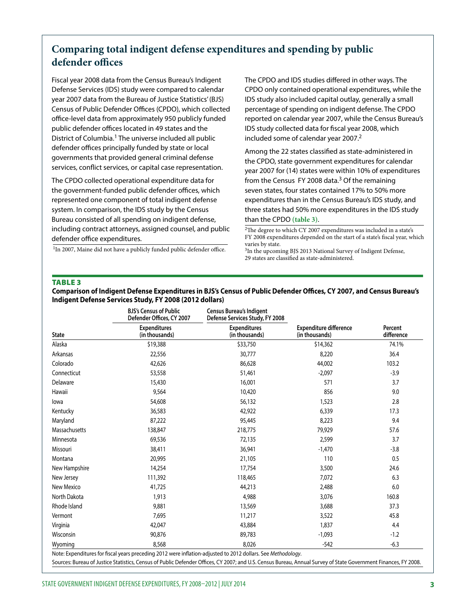# **Comparing total indigent defense expenditures and spending by public defender offices**

Fiscal year 2008 data from the Census Bureau's Indigent Defense Services (IDS) study were compared to calendar year 2007 data from the Bureau of Justice Statistics' (BJS) Census of Public Defender Offices (CPDO), which collected office-level data from approximately 950 publicly funded public defender offices located in 49 states and the District of Columbia.<sup>1</sup> The universe included all public defender offices principally funded by state or local governments that provided general criminal defense services, conflict services, or capital case representation.

The CPDO collected operational expenditure data for the government-funded public defender offices, which represented one component of total indigent defense system. In comparison, the IDS study by the Census Bureau consisted of all spending on indigent defense, including contract attorneys, assigned counsel, and public defender office expenditures.

<sup>1</sup>In 2007, Maine did not have a publicly funded public defender office.

The CPDO and IDS studies differed in other ways. The CPDO only contained operational expenditures, while the IDS study also included capital outlay, generally a small percentage of spending on indigent defense. The CPDO reported on calendar year 2007, while the Census Bureau's IDS study collected data for fiscal year 2008, which included some of calendar year 2007.<sup>2</sup>

Among the 22 states classified as state-administered in the CPDO, state government expenditures for calendar year 2007 for (14) states were within 10% of expenditures from the Census FY 2008 data. $3$  Of the remaining seven states, four states contained 17% to 50% more expenditures than in the Census Bureau's IDS study, and three states had 50% more expenditures in the IDS study than the CPDO **(table 3)**.

2The degree to which CY 2007 expenditures was included in a state's FY 2008 expenditures depended on the start of a state's fiscal year, which varies by state.

<sup>3</sup>In the upcoming BJS 2013 National Survey of Indigent Defense, 29 states are classified as state-administered.

#### Table 3

### **Comparison of Indigent Defense Expenditures in BJS's Census of Public Defender Offices, CY 2007, and Census Bureau's Indigent Defense Services Study, FY 2008 (2012 dollars)**

|               | <b>BJS's Census of Public</b><br>Defender Offices, CY 2007 | <b>Census Bureau's Indigent</b><br>Defense Services Study, FY 2008 |                                                 |                       |  |
|---------------|------------------------------------------------------------|--------------------------------------------------------------------|-------------------------------------------------|-----------------------|--|
| <b>State</b>  | <b>Expenditures</b><br>(in thousands)                      | <b>Expenditures</b><br>(in thousands)                              | <b>Expenditure difference</b><br>(in thousands) | Percent<br>difference |  |
| Alaska        | \$19,388                                                   | \$33,750                                                           | \$14,362                                        | 74.1%                 |  |
| Arkansas      | 22,556                                                     | 30,777                                                             | 8,220                                           | 36.4                  |  |
| Colorado      | 42,626                                                     | 86,628                                                             | 44,002                                          | 103.2                 |  |
| Connecticut   | 53,558                                                     | 51,461                                                             | $-2,097$                                        | $-3.9$                |  |
| Delaware      | 15,430                                                     | 16,001                                                             | 571                                             | 3.7                   |  |
| Hawaii        | 9,564                                                      | 10,420                                                             | 856                                             | 9.0                   |  |
| lowa          | 54,608                                                     | 56,132                                                             | 1,523                                           | 2.8                   |  |
| Kentucky      | 36,583                                                     | 42,922                                                             | 6,339                                           | 17.3                  |  |
| Maryland      | 87,222                                                     | 95,445                                                             | 8,223                                           | 9.4                   |  |
| Massachusetts | 138,847                                                    | 218,775                                                            | 79,929                                          | 57.6                  |  |
| Minnesota     | 69,536                                                     | 72,135                                                             | 2,599                                           | 3.7                   |  |
| Missouri      | 38,411                                                     | 36,941                                                             | $-1,470$                                        | $-3.8$                |  |
| Montana       | 20,995                                                     | 21,105                                                             | 110                                             | 0.5                   |  |
| New Hampshire | 14,254                                                     | 17,754                                                             | 3,500                                           | 24.6                  |  |
| New Jersey    | 111,392                                                    | 118,465                                                            | 7,072                                           | 6.3                   |  |
| New Mexico    | 41,725                                                     | 44,213                                                             | 2,488                                           | 6.0                   |  |
| North Dakota  | 1,913                                                      | 4,988                                                              | 3,076                                           | 160.8                 |  |
| Rhode Island  | 9,881                                                      | 13,569                                                             | 3,688                                           | 37.3                  |  |
| Vermont       | 7,695                                                      | 11,217                                                             | 3,522                                           | 45.8                  |  |
| Virginia      | 42,047                                                     | 43,884                                                             | 1,837                                           | 4.4                   |  |
| Wisconsin     | 90,876                                                     | 89,783                                                             | $-1,093$                                        | $-1.2$                |  |
| Wyoming       | 8,568                                                      | 8,026                                                              | $-542$                                          | $-6.3$                |  |

Sources: Bureau of Justice Statistics, Census of Public Defender Offices, CY 2007; and U.S. Census Bureau, Annual Survey of State Government Finances, FY 2008.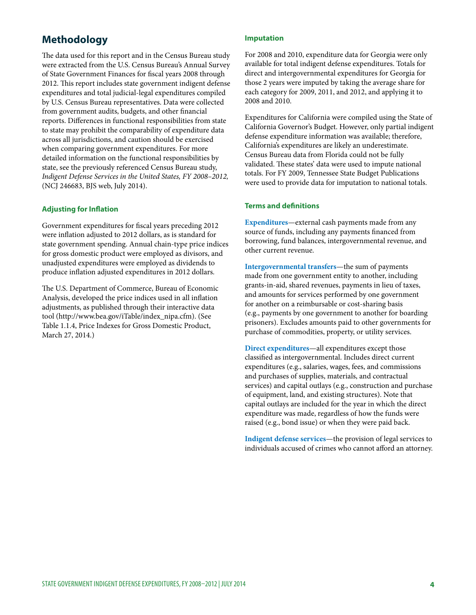## **Methodology**

The data used for this report and in the Census Bureau study were extracted from the U.S. Census Bureau's Annual Survey of State Government Finances for fiscal years 2008 through 2012. This report includes state government indigent defense expenditures and total judicial-legal expenditures compiled by U.S. Census Bureau representatives. Data were collected from government audits, budgets, and other financial reports. Differences in functional responsibilities from state to state may prohibit the comparability of expenditure data across all jurisdictions, and caution should be exercised when comparing government expenditures. For more detailed information on the functional responsibilities by state, see the previously referenced Census Bureau study, *Indigent Defense Services in the United States, FY 2008–2012,* (NCJ 246683, BJS web, July 2014).

### **Adjusting for Inflation**

Government expenditures for fiscal years preceding 2012 were inflation adjusted to 2012 dollars, as is standard for state government spending. Annual chain-type price indices for gross domestic product were employed as divisors, and unadjusted expenditures were employed as dividends to produce inflation adjusted expenditures in 2012 dollars.

The U.S. Department of Commerce, Bureau of Economic Analysis, developed the price indices used in all inflation adjustments, as published through their interactive data tool (http://www.bea.gov/iTable/index\_nipa.cfm). (See Table 1.1.4, Price Indexes for Gross Domestic Product, March 27, 2014.)

### **Imputation**

For 2008 and 2010, expenditure data for Georgia were only available for total indigent defense expenditures. Totals for direct and intergovernmental expenditures for Georgia for those 2 years were imputed by taking the average share for each category for 2009, 2011, and 2012, and applying it to 2008 and 2010.

Expenditures for California were compiled using the State of California Governor's Budget. However, only partial indigent defense expenditure information was available; therefore, California's expenditures are likely an underestimate. Census Bureau data from Florida could not be fully validated. These states' data were used to impute national totals. For FY 2009, Tennessee State Budget Publications were used to provide data for imputation to national totals.

### **Terms and definitions**

**Expenditures**—external cash payments made from any source of funds, including any payments financed from borrowing, fund balances, intergovernmental revenue, and other current revenue.

**Intergovernmental transfers**—the sum of payments made from one government entity to another, including grants-in-aid, shared revenues, payments in lieu of taxes, and amounts for services performed by one government for another on a reimbursable or cost-sharing basis (e.g., payments by one government to another for boarding prisoners). Excludes amounts paid to other governments for purchase of commodities, property, or utility services.

**Direct expenditures**—all expenditures except those classified as intergovernmental. Includes direct current expenditures (e.g., salaries, wages, fees, and commissions and purchases of supplies, materials, and contractual services) and capital outlays (e.g., construction and purchase of equipment, land, and existing structures). Note that capital outlays are included for the year in which the direct expenditure was made, regardless of how the funds were raised (e.g., bond issue) or when they were paid back.

**Indigent defense services**—the provision of legal services to individuals accused of crimes who cannot afford an attorney.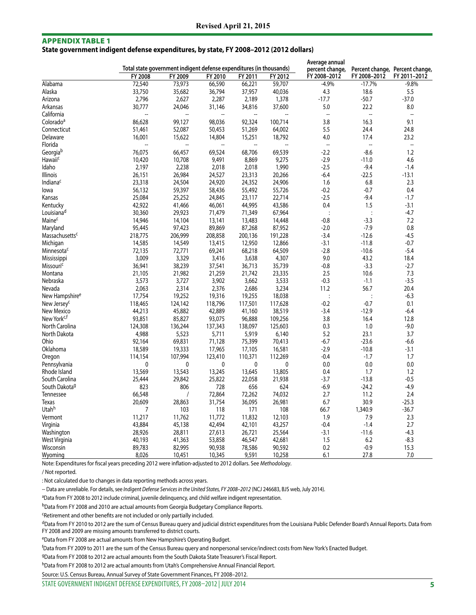#### Appendix table 1

**State government indigent defense expenditures, by state, FY 2008–2012 (2012 dollars)**

|                            |                 | Total state government indigent defense expenditures (in thousands) |                                    |                                    |                          | Average annual                  |                          |                                 |
|----------------------------|-----------------|---------------------------------------------------------------------|------------------------------------|------------------------------------|--------------------------|---------------------------------|--------------------------|---------------------------------|
|                            | FY 2008         |                                                                     |                                    |                                    |                          | percent change,<br>FY 2008-2012 |                          | Percent change, Percent change, |
| Alabama                    | 72,540          | FY 2009                                                             | FY 2010                            | FY 2011                            | FY 2012<br>59,707        | $-4.9%$                         | FY 2008-2012<br>$-17.7%$ | FY 2011-2012<br>$-9.8%$         |
| Alaska                     |                 | 73,973                                                              | 66,590                             | 66,221                             | 40,036                   | 4.3                             | 18.6                     | 5.5                             |
|                            | 33,750<br>2,796 | 35,682<br>2,627                                                     | 36,794<br>2,287                    | 37,957                             | 1,378                    | $-17.7$                         | $-50.7$                  | $-37.0$                         |
| Arizona                    |                 |                                                                     |                                    | 2,189                              |                          |                                 | 22.2                     |                                 |
| Arkansas                   | 30,777          | 24,046<br>$\overline{\phantom{a}}$                                  | 31,146<br>$\overline{\phantom{a}}$ | 34,816<br>$\overline{\phantom{a}}$ | 37,600<br>$\overline{a}$ | 5.0<br>$\overline{\phantom{a}}$ | $\overline{\phantom{a}}$ | 8.0<br>$\overline{\phantom{a}}$ |
| California                 | --              |                                                                     |                                    |                                    |                          |                                 |                          |                                 |
| Colorado <sup>a</sup>      | 86,628          | 99,127                                                              | 98,036                             | 92,324                             | 100,714                  | 3.8                             | 16.3                     | 9.1                             |
| Connecticut                | 51,461          | 52,087                                                              | 50,453                             | 51,269                             | 64,002                   | 5.5                             | 24.4                     | 24.8                            |
| Delaware                   | 16,001          | 15,622                                                              | 14,804                             | 15,251                             | 18,792                   | 4.0                             | 17.4                     | 23.2                            |
| Florida                    |                 | $\overline{a}$                                                      |                                    |                                    |                          | $\overline{\phantom{a}}$        | $\overline{\phantom{a}}$ | $\overline{\phantom{a}}$        |
| Georgiab                   | 76,075          | 66,457                                                              | 69,524                             | 68,706                             | 69,539                   | $-2.2$                          | $-8.6$                   | 1.2                             |
| <b>Hawaii<sup>c</sup></b>  | 10,420          | 10,708                                                              | 9,491                              | 8,869                              | 9,275                    | $-2.9$                          | $-11.0$                  | 4.6                             |
| Idaho                      | 2,197           | 2,238                                                               | 2,018                              | 2,018                              | 1,990                    | $-2.5$                          | $-9.4$                   | $-1.4$                          |
| <b>Illinois</b>            | 26,151          | 26,984                                                              | 24,527                             | 23,313                             | 20,266                   | $-6.4$                          | $-22.5$                  | $-13.1$                         |
| Indiana <sup>c</sup>       | 23,318          | 24,504                                                              | 24,920                             | 24,352                             | 24,906                   | 1.6                             | 6.8                      | 2.3                             |
| lowa                       | 56,132          | 59,397                                                              | 58,436                             | 55,492                             | 55,726                   | $-0.2$                          | $-0.7$                   | 0.4                             |
| Kansas                     | 25,084          | 25,252                                                              | 24,845                             | 23,117                             | 22,714                   | $-2.5$                          | $-9.4$                   | $-1.7$                          |
| Kentucky                   | 42,922          | 41,466                                                              | 46,061                             | 44,995                             | 43,586                   | 0.4                             | 1.5                      | $-3.1$                          |
| Louisiana <sup>d</sup>     | 30,360          | 29,923                                                              | 71,479                             | 71,349                             | 67,964                   | $\ddot{\cdot}$                  | $\ddot{\cdot}$           | $-4.7$                          |
| Maine <sup>c</sup>         | 14,946          | 14,104                                                              | 13,141                             | 13,483                             | 14,448                   | $-0.8$                          | $-3.3$                   | 7.2                             |
| Maryland                   | 95,445          | 97,423                                                              | 89,869                             | 87,268                             | 87,952                   | $-2.0$                          | $-7.9$                   | 0.8                             |
| Massachusettsc             | 218,775         | 206,999                                                             | 208,858                            | 200,136                            | 191,228                  | $-3.4$                          | $-12.6$                  | $-4.5$                          |
| Michigan                   | 14,585          | 14,549                                                              | 13,415                             | 12,950                             | 12,866                   | $-3.1$                          | $-11.8$                  | $-0.7$                          |
| Minnesota <sup>c</sup>     | 72,135          | 72,771                                                              | 69,241                             | 68,218                             | 64,509                   | $-2.8$                          | $-10.6$                  | $-5.4$                          |
| <b>Mississippi</b>         | 3,009           | 3,329                                                               | 3,416                              | 3,638                              | 4,307                    | 9.0                             | 43.2                     | 18.4                            |
| Missouric                  | 36,941          | 38,239                                                              | 37,541                             | 36,713                             | 35,739                   | $-0.8$                          | $-3.3$                   | $-2.7$                          |
| Montana                    | 21,105          | 21,982                                                              | 21,259                             | 21,742                             | 23,335                   | 2.5                             | 10.6                     | 7.3                             |
| Nebraska                   | 3,573           | 3,727                                                               | 3,902                              | 3,662                              | 3,533                    | $-0.3$                          | $-1.1$                   | $-3.5$                          |
| Nevada                     | 2,063           | 2,314                                                               | 2,376                              | 2,686                              | 3,234                    | 11.2                            | 56.7                     | 20.4                            |
| New Hampshire <sup>e</sup> | 17,754          | 19,252                                                              | 19,316                             | 19,255                             | 18,038                   | $\ddot{\cdot}$                  | $\ddot{\cdot}$           | $-6.3$                          |
| New Jersey <sup>c</sup>    | 118,465         | 124,142                                                             | 118,796                            | 117,501                            | 117,628                  | $-0.2$                          | $-0.7$                   | 0.1                             |
| New Mexico                 | 44,213          | 45,882                                                              | 42,889                             | 41,160                             | 38,519                   | $-3.4$                          | $-12.9$                  | $-6.4$                          |
| New York <sup>c,f</sup>    | 93,851          | 85,827                                                              | 93,075                             | 96,888                             | 109,256                  | 3.8                             | 16.4                     | 12.8                            |
| North Carolina             | 124,308         | 136,244                                                             | 137,343                            | 138,097                            | 125,603                  | 0.3                             | 1.0                      | $-9.0$                          |
| North Dakota               | 4,988           | 5,523                                                               | 5,711                              | 5,919                              | 6,140                    | 5.2                             | 23.1                     | 3.7                             |
| Ohio                       | 92,164          | 69,831                                                              | 71,128                             | 75,399                             | 70,413                   | $-6.7$                          | $-23.6$                  | $-6.6$                          |
| Oklahoma                   | 18,589          | 19,333                                                              | 17,965                             | 17,105                             | 16,581                   | $-2.9$                          | $-10.8$                  | $-3.1$                          |
| Oregon                     | 114,154         | 107,994                                                             | 123,410                            | 110,371                            | 112,269                  | $-0.4$                          | $-1.7$                   | 1.7                             |
| Pennsylvania               | $\mathbf 0$     | 0                                                                   | 0                                  | 0                                  | 0                        | 0.0                             | 0.0                      | 0.0                             |
| Rhode Island               | 13,569          | 13,543                                                              | 13,245                             | 13,645                             | 13,805                   | 0.4                             | 1.7                      | 1.2                             |
| South Carolina             | 25,444          | 29,842                                                              | 25,822                             | 22,058                             | 21,938                   | $-3.7$                          | $-13.8$                  | $-0.5$                          |
| South Dakota <sup>g</sup>  | 823             | 806                                                                 | 728                                | 656                                | 624                      | $-6.9$                          | $-24.2$                  | $-4.9$                          |
| Tennessee                  | 66,548          | 1                                                                   | 72,864                             | 72,262                             | 74,032                   | 2.7                             | 11.2                     | 2.4                             |
| Texas                      |                 |                                                                     |                                    |                                    |                          |                                 |                          |                                 |
| Utah <sup>h</sup>          | 20,609          | 28,863<br>103                                                       | 31,754                             | 36,095                             | 26,981                   | 6.7                             | 30.9                     | $-25.3$                         |
|                            | 7               |                                                                     | 118                                | 171                                | 108                      | 66.7                            | 1,340.9                  | $-36.7$                         |
| Vermont                    | 11,217          | 11,762                                                              | 11,772                             | 11,832                             | 12,103                   | 1.9                             | 7.9                      | 2.3                             |
| Virginia                   | 43,884          | 45,138                                                              | 42,494                             | 42,101                             | 43,257                   | $-0.4$                          | $-1.4$                   | 2.7                             |
| Washington                 | 28,926          | 28,811                                                              | 27,613                             | 26,721                             | 25,564                   | $-3.1$                          | $-11.6$                  | $-4.3$                          |
| West Virginia              | 40,193          | 41,363                                                              | 53,858                             | 46,547                             | 42,681                   | 1.5                             | 6.2                      | $-8.3$                          |
| Wisconsin                  | 89,783          | 82,995                                                              | 90,938                             | 78,586                             | 90,592                   | 0.2                             | $-0.9$                   | 15.3                            |
| Wyoming                    | 8,026           | 10,451                                                              | 10,345                             | 9,591                              | 10,258                   | 6.1                             | 27.8                     | 7.0                             |

Note: Expenditures for fiscal years preceding 2012 were inflation-adjusted to 2012 dollars. See *Methodology*.

/ Not reported.

: Not calculated due to changes in data reporting methods across years.

-- Data are unreliable. For details, see *Indigent Defense Services in the United States, FY 2008–2012* (NCJ 246683, BJS web, July 2014).

<sup>a</sup>Data from FY 2008 to 2012 include criminal, juvenile delinquency, and child welfare indigent representation.

bData from FY 2008 and 2010 are actual amounts from Georgia Budgetary Compliance Reports.

cRetirement and other benefits are not included or only partially included.

dData from FY 2010 to 2012 are the sum of Census Bureau query and judicial district expenditures from the Louisiana Public Defender Board's Annual Reports. Data from FY 2008 and 2009 are missing amounts transferred to district courts.

eData from FY 2008 are actual amounts from New Hampshire's Operating Budget.

f Data from FY 2009 to 2011 are the sum of the Census Bureau query and nonpersonal service/indirect costs from New York's Enacted Budget.

gData from FY 2008 to 2012 are actual amounts from the South Dakota State Treasurer's Fiscal Report.

hData from FY 2008 to 2012 are actual amounts from Utah's Comprehensive Annual Financial Report.

Source: U.S. Census Bureau, Annual Survey of State Government Finances, FY 2008–2012.